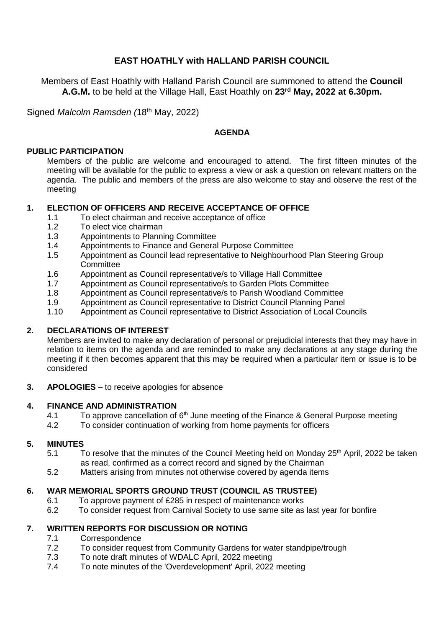# **EAST HOATHLY with HALLAND PARISH COUNCIL**

Members of East Hoathly with Halland Parish Council are summoned to attend the **Council A.G.M.** to be held at the Village Hall, East Hoathly on **23rd May, 2022 at 6.30pm.**

Signed *Malcolm Ramsden (*18th May, 2022)

#### **AGENDA**

#### **PUBLIC PARTICIPATION**

Members of the public are welcome and encouraged to attend. The first fifteen minutes of the meeting will be available for the public to express a view or ask a question on relevant matters on the agenda. The public and members of the press are also welcome to stay and observe the rest of the meeting

#### **1. ELECTION OF OFFICERS AND RECEIVE ACCEPTANCE OF OFFICE**

- 1.1 To elect chairman and receive acceptance of office
- 1.2 To elect vice chairman
- 1.3 Appointments to Planning Committee
- 1.4 Appointments to Finance and General Purpose Committee
- 1.5 Appointment as Council lead representative to Neighbourhood Plan Steering Group **Committee**
- 1.6 Appointment as Council representative/s to Village Hall Committee
- 1.7 Appointment as Council representative/s to Garden Plots Committee
- 1.8 Appointment as Council representative/s to Parish Woodland Committee
- 1.9 Appointment as Council representative to District Council Planning Panel
- 1.10 Appointment as Council representative to District Association of Local Councils

# **2. DECLARATIONS OF INTEREST**

Members are invited to make any declaration of personal or prejudicial interests that they may have in relation to items on the agenda and are reminded to make any declarations at any stage during the meeting if it then becomes apparent that this may be required when a particular item or issue is to be considered

**3. APOLOGIES** – to receive apologies for absence

# **4. FINANCE AND ADMINISTRATION**

- 4.1 To approve cancellation of 6<sup>th</sup> June meeting of the Finance & General Purpose meeting
- 4.2 To consider continuation of working from home payments for officers

#### **5. MINUTES**

- 5.1 To resolve that the minutes of the Council Meeting held on Monday 25<sup>th</sup> April, 2022 be taken as read, confirmed as a correct record and signed by the Chairman
- 5.2 Matters arising from minutes not otherwise covered by agenda items

# **6. WAR MEMORIAL SPORTS GROUND TRUST (COUNCIL AS TRUSTEE)**

- 6.1 To approve payment of £285 in respect of maintenance works
- 6.2 To consider request from Carnival Society to use same site as last year for bonfire

# **7. WRITTEN REPORTS FOR DISCUSSION OR NOTING**

- 7.1 Correspondence
- 7.2 To consider request from Community Gardens for water standpipe/trough
- 7.3 To note draft minutes of WDALC April, 2022 meeting
- 7.4 To note minutes of the 'Overdevelopment' April, 2022 meeting